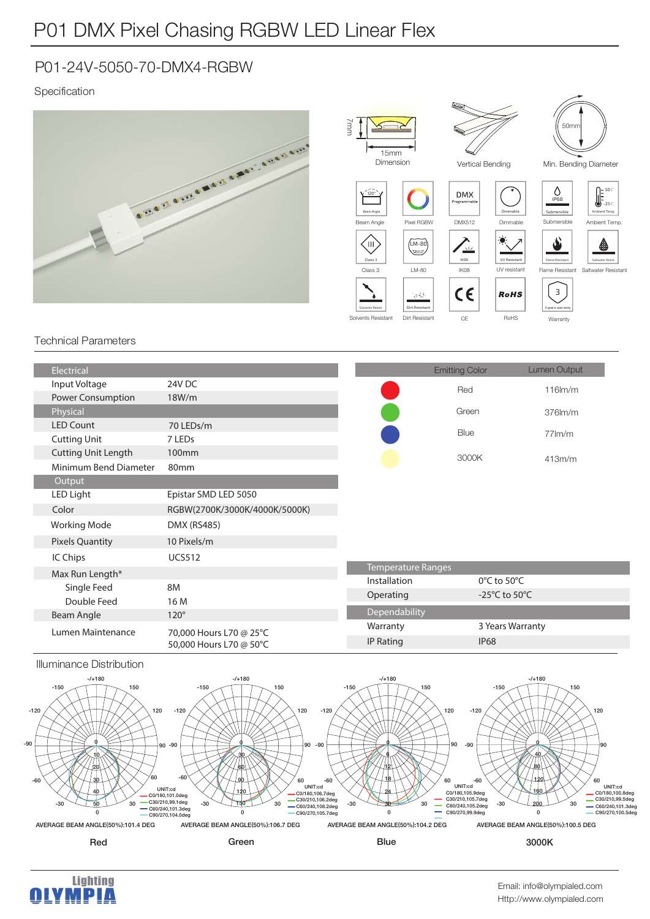## P01-24V-5050-70-DMX4-RGBW

### Specification



#### Technical Parameters

| Electrical                 |                                                    |                    | <b>Emitting Color</b>             | Lumen Output     |
|----------------------------|----------------------------------------------------|--------------------|-----------------------------------|------------------|
| Input Voltage              | 24V DC                                             |                    | Red                               | $116$ m/m        |
| Power Consumption          | 18W/m                                              |                    |                                   |                  |
| Physical                   |                                                    |                    | Green                             | $376$ m/m        |
| <b>LED Count</b>           | 70 LEDs/m                                          |                    |                                   |                  |
| <b>Cutting Unit</b>        | 7 LED <sub>s</sub>                                 |                    | Blue                              | $77 \text{Im/m}$ |
| <b>Cutting Unit Length</b> | 100mm                                              |                    | 3000K                             | 413m/m           |
| Minimum Bend Diameter      | 80 <sub>mm</sub>                                   |                    |                                   |                  |
| Output                     |                                                    |                    |                                   |                  |
| LED Light                  | Epistar SMD LED 5050                               |                    |                                   |                  |
| Color                      | RGBW(2700K/3000K/4000K/5000K)                      |                    |                                   |                  |
| <b>Working Mode</b>        | DMX (RS485)                                        |                    |                                   |                  |
| <b>Pixels Quantity</b>     | 10 Pixels/m                                        |                    |                                   |                  |
| IC Chips                   | <b>UCS512</b>                                      |                    |                                   |                  |
| Max Run Length*            |                                                    | Temperature Ranges |                                   |                  |
| Single Feed                | <b>8M</b>                                          | Installation       | $0^{\circ}$ C to 50 $^{\circ}$ C  |                  |
| Double Feed                | 16 M                                               | Operating          | -25 $\degree$ C to 50 $\degree$ C |                  |
| Beam Angle                 | $120^\circ$                                        | Dependability      |                                   |                  |
| Lumen Maintenance          | 70,000 Hours L70 @ 25°C<br>50,000 Hours L70 @ 50°C | Warranty           |                                   | 3 Years Warranty |
|                            |                                                    | <b>IP Rating</b>   | <b>IP68</b>                       |                  |

#### Illuminance Distribution